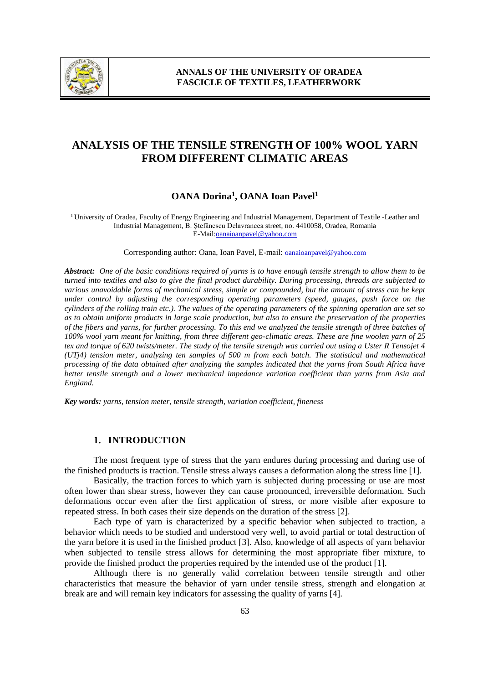

# **ANALYSIS OF THE TENSILE STRENGTH OF 100% WOOL YARN FROM DIFFERENT CLIMATIC AREAS**

## **OANA Dorina<sup>1</sup> , OANA Ioan Pavel<sup>1</sup>**

<sup>1</sup>University of Oradea, Faculty of Energy Engineering and Industrial Management, Department of Textile -Leather and Industrial Management, B. Ştefănescu Delavrancea street, no. 4410058, Oradea, Romania E-Mail:oanaioanpavel@yahoo.com

Corresponding author: Oana, Ioan Pavel, E-mail: **oanaioanpavel@yahoo.com** 

*Abstract: One of the basic conditions required of yarns is to have enough tensile strength to allow them to be turned into textiles and also to give the final product durability. During processing, threads are subjected to various unavoidable forms of mechanical stress, simple or compounded, but the amount of stress can be kept under control by adjusting the corresponding operating parameters (speed, gauges, push force on the cylinders of the rolling train etc.). The values of the operating parameters of the spinning operation are set so as to obtain uniform products in large scale production, but also to ensure the preservation of the properties of the fibers and yarns, for further processing. To this end we analyzed the tensile strength of three batches of 100% wool yarn meant for knitting, from three different geo-climatic areas. These are fine woolen yarn of 25 tex and torque of 620 twists/meter. The study of the tensile strength was carried out using a Uster R Tensojet 4 (UTj4) tension meter, analyzing ten samples of 500 m from each batch. The statistical and mathematical processing of the data obtained after analyzing the samples indicated that the yarns from South Africa have better tensile strength and a lower mechanical impedance variation coefficient than yarns from Asia and England.* 

*Key words: yarns, tension meter, tensile strength, variation coefficient, fineness*

### **1. INTRODUCTION**

The most frequent type of stress that the yarn endures during processing and during use of the finished products is traction. Tensile stress always causes a deformation along the stress line [1].

Basically, the traction forces to which yarn is subjected during processing or use are most often lower than shear stress, however they can cause pronounced, irreversible deformation. Such deformations occur even after the first application of stress, or more visible after exposure to repeated stress. In both cases their size depends on the duration of the stress [2].

Each type of yarn is characterized by a specific behavior when subjected to traction, a behavior which needs to be studied and understood very well, to avoid partial or total destruction of the yarn before it is used in the finished product [3]. Also, knowledge of all aspects of yarn behavior when subjected to tensile stress allows for determining the most appropriate fiber mixture, to provide the finished product the properties required by the intended use of the product [1].

Although there is no generally valid correlation between tensile strength and other characteristics that measure the behavior of yarn under tensile stress, strength and elongation at break are and will remain key indicators for assessing the quality of yarns [4].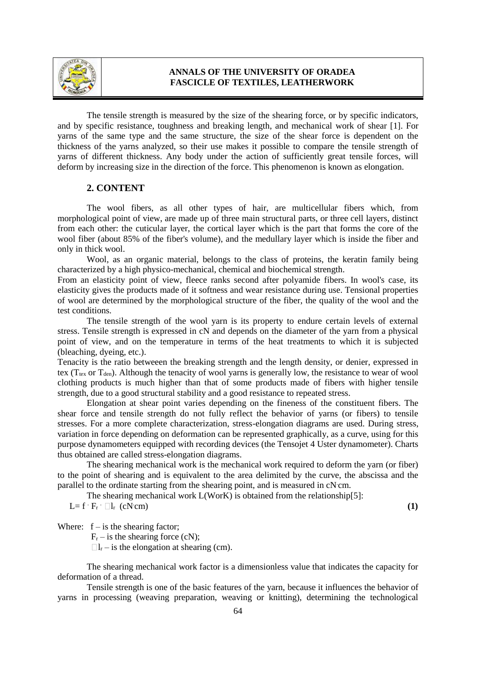

The tensile strength is measured by the size of the shearing force, or by specific indicators, and by specific resistance, toughness and breaking length, and mechanical work of shear [1]. For yarns of the same type and the same structure, the size of the shear force is dependent on the thickness of the yarns analyzed, so their use makes it possible to compare the tensile strength of yarns of different thickness. Any body under the action of sufficiently great tensile forces, will deform by increasing size in the direction of the force. This phenomenon is known as elongation.

#### **2. CONTENT**

The wool fibers, as all other types of hair, are multicellular fibers which, from morphological point of view, are made up of three main structural parts, or three cell layers, distinct from each other: the cuticular layer, the cortical layer which is the part that forms the core of the wool fiber (about 85% of the fiber's volume), and the medullary layer which is inside the fiber and only in thick wool.

Wool, as an organic material, belongs to the class of proteins, the keratin family being characterized by a high physico-mechanical, chemical and biochemical strength.

From an elasticity point of view, fleece ranks second after polyamide fibers. In wool's case, its elasticity gives the products made of it softness and wear resistance during use. Tensional properties of wool are determined by the morphological structure of the fiber, the quality of the wool and the test conditions.

The tensile strength of the wool yarn is its property to endure certain levels of external stress. Tensile strength is expressed in cN and depends on the diameter of the yarn from a physical point of view, and on the temperature in terms of the heat treatments to which it is subjected (bleaching, dyeing, etc.).

Tenacity is the ratio betweeen the breaking strength and the length density, or denier, expressed in tex ( $T_{text}$  or  $T_{den}$ ). Although the tenacity of wool yarns is generally low, the resistance to wear of wool clothing products is much higher than that of some products made of fibers with higher tensile strength, due to a good structural stability and a good resistance to repeated stress.

Elongation at shear point varies depending on the fineness of the constituent fibers. The shear force and tensile strength do not fully reflect the behavior of yarns (or fibers) to tensile stresses. For a more complete characterization, stress-elongation diagrams are used. During stress, variation in force depending on deformation can be represented graphically, as a curve, using for this purpose dynamometers equipped with recording devices (the Tensojet 4 Uster dynamometer). Charts thus obtained are called stress-elongation diagrams.

The shearing mechanical work is the mechanical work required to deform the yarn (or fiber) to the point of shearing and is equivalent to the area delimited by the curve, the abscissa and the parallel to the ordinate starting from the shearing point, and is measured in cN cm.

The shearing mechanical work L(WorK) is obtained from the relationship[5]:

$$
L = f \cdot F_r \cdot \Box I_r \quad (cN \cdot cm) \tag{1}
$$

Where:  $f - is$  the shearing factor;

 $F_r$  – is the shearing force (cN);

 $\Box l_{r}$  – is the elongation at shearing (cm).

The shearing mechanical work factor is a dimensionless value that indicates the capacity for deformation of a thread.

Tensile strength is one of the basic features of the yarn, because it influences the behavior of yarns in processing (weaving preparation, weaving or knitting), determining the technological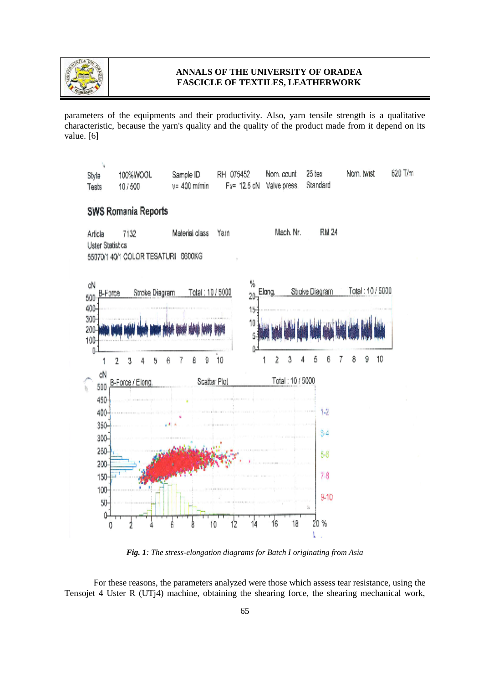

parameters of the equipments and their productivity. Also, yarn tensile strength is a qualitative characteristic, because the yarn's quality and the quality of the product made from it depend on its value. [6]



*Fig. 1: The stress-elongation diagrams for Batch I originating from Asia*

For these reasons, the parameters analyzed were those which assess tear resistance, using the Tensojet 4 Uster R (UTj4) machine, obtaining the shearing force, the shearing mechanical work,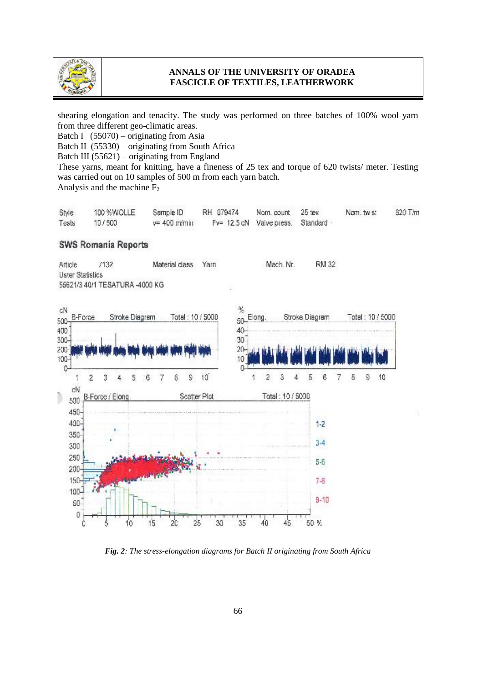

shearing elongation and tenacity. The study was performed on three batches of 100% wool yarn from three different geo-climatic areas.

Batch I (55070) – originating from Asia

Batch II (55330) – originating from South Africa

Batch III (55621) – originating from England

These yarns, meant for knitting, have a fineness of 25 tex and torque of 620 twists/ meter. Testing was carried out on 10 samples of 500 m from each yarn batch.

Analysis and the machine F<sup>2</sup>

| Style | 100 %WOLLE | Sample ID       | RH 079474 | Nam. count 25 tex                 | Nom, twist | 620 T/m |
|-------|------------|-----------------|-----------|-----------------------------------|------------|---------|
| Tests | 10/500     | $v = 400$ m/min |           | Fy= 12.5 cN Valve press. Standard |            |         |

### **SWS Romania Reports**





*Fig. 2: The stress-elongation diagrams for Batch II originating from South Africa*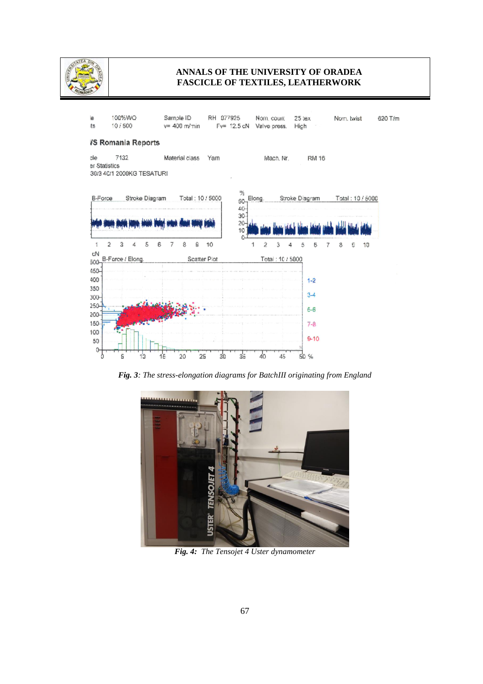



*Fig. 3: The stress-elongation diagrams for BatchIII originating from England*



*Fig. 4: The Tensojet 4 Uster dynamometer*